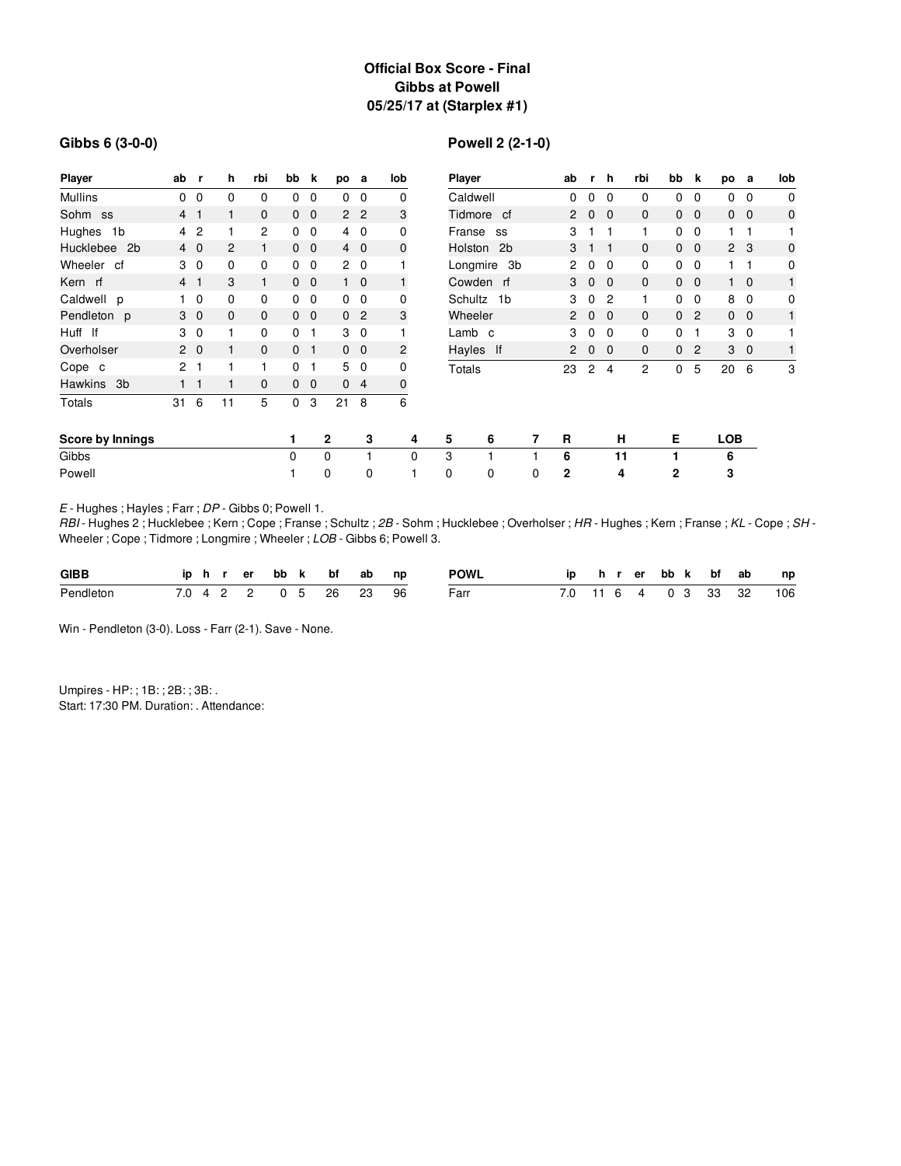# **Official Box Score - Final Gibbs at Powell 05/25/17 at (Starplex #1)**

#### **Gibbs 6 (3-0-0)**

# **Powell 2 (2-1-0)**

| Player                      | ab             | r,                         | h            | rbi            | bb             | k              | po           | a              | lob            | Player      |            |                | ab             | r,             | h              | rbi          | bb             | k              | po             | а            | lob          |
|-----------------------------|----------------|----------------------------|--------------|----------------|----------------|----------------|--------------|----------------|----------------|-------------|------------|----------------|----------------|----------------|----------------|--------------|----------------|----------------|----------------|--------------|--------------|
| <b>Mullins</b>              | $\mathbf{0}$   | $\mathbf 0$                | 0            | 0              | 0              | 0              | $\Omega$     | $\mathbf{0}$   | 0              | Caldwell    |            |                | 0              | 0              | 0              | 0            | 0              | $\mathbf 0$    | $\mathbf{0}$   | $\mathbf 0$  | 0            |
| Sohm ss                     | 4 <sub>1</sub> |                            |              | 0              |                | $0\quad 0$     |              | 2 <sub>2</sub> | 3              |             | Tidmore cf |                | $\mathbf{2}$   | $\mathbf 0$    | $\overline{0}$ | $\mathbf{0}$ |                | $0\quad 0$     |                | $0\quad 0$   | $\mathbf 0$  |
| Hughes<br>1b                |                | 4 <sup>2</sup>             |              | $\overline{c}$ | $\mathbf{0}$   | $\mathbf 0$    |              | $4\quad 0$     | 0              |             | Franse ss  |                | 3              |                | 1              | $\mathbf{1}$ | $\mathbf{0}$   | $\mathbf{0}$   | 1.             | $\mathbf{1}$ |              |
| Hucklebee<br>2 <sub>b</sub> |                | $4\quad0$                  | 2            | $\mathbf{1}$   |                | $0\quad 0$     |              | $4\quad0$      | $\mathbf 0$    |             | Holston 2b |                | 3              |                | 1              | $\mathbf{0}$ |                | $0\quad 0$     | 2 <sub>3</sub> |              | $\mathbf 0$  |
| Wheeler cf                  |                | 3 <sub>0</sub>             | 0            | 0              | $\mathbf{0}$   | $\mathbf 0$    |              | $2\quad 0$     |                | Longmire 3b |            |                | $\overline{2}$ | $\mathbf 0$    | $\Omega$       | 0            | 0              | $\overline{0}$ | 1.             | -1           | 0            |
| Kern rf                     | 4 <sub>1</sub> |                            | 3            | $\mathbf{1}$   |                | $0\quad 0$     |              | $1\quad 0$     | $\mathbf{1}$   | Cowden rf   |            |                | 3              | $\mathbf 0$    | $\overline{0}$ | $\mathbf{0}$ |                | $0\quad 0$     |                | $1\quad 0$   | 1            |
| Caldwell p                  |                | $1\quad 0$                 | 0            | 0              | $\mathbf{0}$   | $\mathbf 0$    |              | $0\quad 0$     | 0              | Schultz 1b  |            |                | 3              | $\mathbf 0$    | 2              | 1            | 0              | $\mathbf 0$    | 8              | $\mathbf 0$  | 0            |
| Pendleton p                 |                | 3 <sub>0</sub>             | $\mathbf{0}$ | 0              |                | $0\quad 0$     |              | 0 <sub>2</sub> | 3              | Wheeler     |            | $\overline{2}$ | $\mathbf{0}$   | $\overline{0}$ | $\mathbf{0}$   | $\mathbf 0$  | $\overline{2}$ |                | $0\quad 0$     | $\mathbf{1}$ |              |
| Huff If                     |                | 3 <sub>0</sub>             |              | 0              | 0              | -1             |              | 3 <sub>0</sub> |                | Lamb c      |            | 3              | 0              | $\Omega$       | 0              | 0            | 1              | 3              | $\mathbf 0$    |              |              |
| Overholser                  |                | $2\quad0$                  |              | 0              | 0 <sub>1</sub> |                |              | $0\quad 0$     | $\overline{c}$ | Hayles If   |            |                | 2              | $\mathbf{0}$   | $\mathbf 0$    | $\mathbf{0}$ | 0              | $\overline{2}$ | 3              | $\mathbf 0$  | $\mathbf{1}$ |
| Cope c                      | 2 <sub>1</sub> |                            |              | 1              | $\mathbf 0$    | 1              |              | 50             | 0              | Totals      |            |                | 23             | 2              | 4              | 2            | 0              | 5              | 20             | 6            | 3            |
| <b>Hawkins</b><br>3b        |                | $\overline{\phantom{0}}$ 1 |              | $\mathbf{0}$   | 0              | $\overline{0}$ |              | 0 <sub>4</sub> | 0              |             |            |                |                |                |                |              |                |                |                |              |              |
| Totals                      | 31             | 6                          | 11           | 5              | $\Omega$       | 3              | 21           | 8              | 6              |             |            |                |                |                |                |              |                |                |                |              |              |
| Score by Innings            |                |                            |              |                | 1              |                | $\mathbf{2}$ | 3              | 4              | 5           | 6          | 7              | R              |                | н              |              | Е              |                | <b>LOB</b>     |              |              |
| Gibbs                       |                |                            |              |                | 0              |                | $\Omega$     |                | $\Omega$       | 3           |            |                | 6              |                | 11             |              | 1              |                | 6              |              |              |
| Powell                      |                |                            |              |                |                |                | 0            | 0              | 1              | 0           | 0          | 0              | 2              |                | 4              |              | 2              |                | 3              |              |              |

*E* - Hughes ; Hayles ; Farr ; *DP* - Gibbs 0; Powell 1.

*RBI* - Hughes 2 ; Hucklebee ; Kern ; Cope ; Franse ; Schultz ; 2B - Sohm ; Hucklebee ; Overholser ; *HR* - Hughes ; Kern ; Franse ; KL - Cope ; SH -Wheeler ; Cope ; Tidmore ; Longmire ; Wheeler ; *LOB* - Gibbs 6; Powell 3.

| <b>GIBB</b> |  |  | iphrerbbk bfab np      |  |  | <b>POWL</b> |  |  |  |  | ip hrerbbk bf ab np      |
|-------------|--|--|------------------------|--|--|-------------|--|--|--|--|--------------------------|
| Pendleton   |  |  | 7.0 4 2 2 0 5 26 23 96 |  |  | Farr        |  |  |  |  | 7.0 11 6 4 0 3 33 32 106 |

Win - Pendleton (3-0). Loss - Farr (2-1). Save - None.

Umpires - HP: ; 1B: ; 2B: ; 3B: . Start: 17:30 PM. Duration: . Attendance: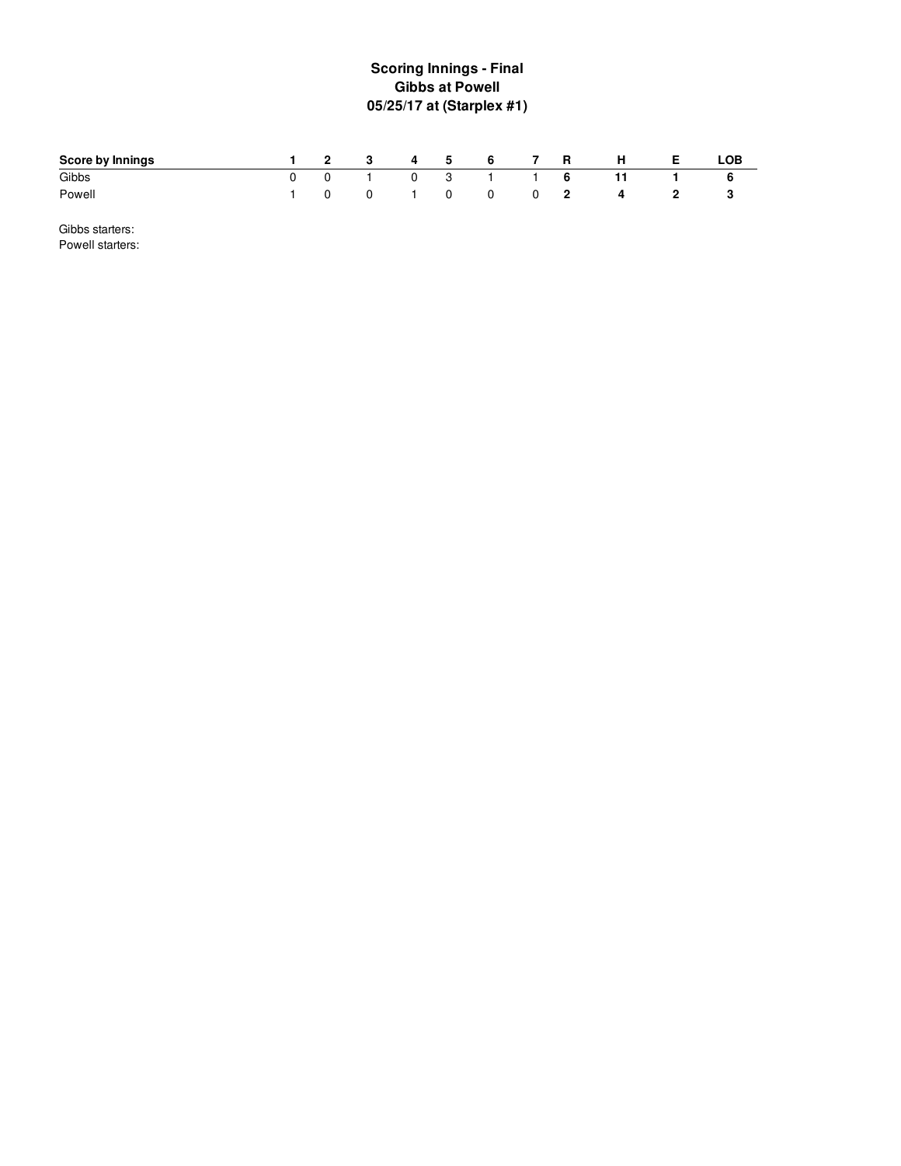# **S c o rin g In nin g s - Fin al Gibbs at Powell 05/25/17 at (Starplex #1 )**

| Score by Innings |          | 2 3 4 5 6     |  |             | <b>7 R</b> | <b>H</b> | - E -        | LOB |
|------------------|----------|---------------|--|-------------|------------|----------|--------------|-----|
| Gibbs            |          | 0 1 0 3 1 1 6 |  |             |            | $-11$    |              |     |
| Powell           | $\Omega$ |               |  | 0 1 0 0 0 2 |            | 4        | $\mathbb{Z}$ |     |

Gibbs starters: Powell starters: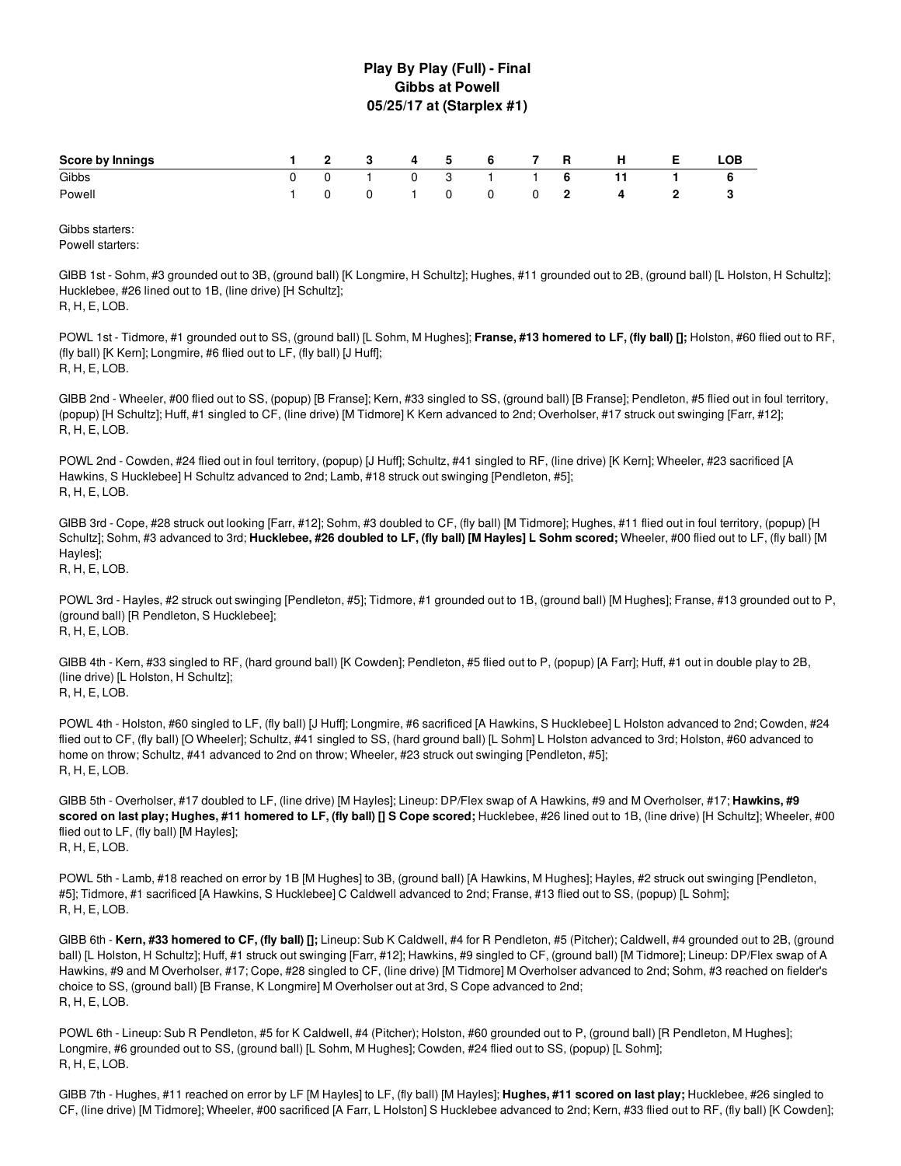### **Play By Play (Full) - Final Gibbs at Powell 05/25/17 at (Starplex #1)**

| Score by Innings |  |  |  |  | 1 2 3 4 5 6 7 R H E  | LOB |
|------------------|--|--|--|--|----------------------|-----|
| Gibbs            |  |  |  |  | 0 0 1 0 3 1 1 6 11 1 |     |
| Powell           |  |  |  |  | 1 0 0 1 0 0 0 2 4 2  |     |

Gibbs starters: Powell starters:

GIBB 1st - Sohm, #3 grounded out to 3B, (ground ball) [K Longmire, H Schultz]; Hughes, #11 grounded out to 2B, (ground ball) [L Holston, H Schultz]; Hucklebee, #26 lined out to 1B, (line drive) [H Schultz]; R, H, E, LOB.

POWL 1st - Tidmore, #1 grounded out to SS, (ground ball) [L Sohm, M Hughes]; **Franse, #13 homered to LF, (fly ball) [];** Holston, #60 flied out to RF, (fly ball) [K Kern]; Longmire, #6 flied out to LF, (fly ball) [J Huff]; R, H, E, LOB.

GIBB 2nd - Wheeler, #00 flied out to SS, (popup) [B Franse]; Kern, #33 singled to SS, (ground ball) [B Franse]; Pendleton, #5 flied out in foul territory, (popup) [H Schultz]; Huff, #1 singled to CF, (line drive) [M Tidmore] K Kern advanced to 2nd; Overholser, #17 struck out swinging [Farr, #12]; R, H, E, LOB.

POWL 2nd - Cowden, #24 flied out in foul territory, (popup) [J Huff]; Schultz, #41 singled to RF, (line drive) [K Kern]; Wheeler, #23 sacrificed [A Hawkins, S Hucklebee] H Schultz advanced to 2nd; Lamb, #18 struck out swinging [Pendleton, #5]; R, H, E, LOB.

GIBB 3rd - Cope, #28 struck out looking [Farr, #12]; Sohm, #3 doubled to CF, (fly ball) [M Tidmore]; Hughes, #11 flied out in foul territory, (popup) [H Schultz]; Sohm, #3 advanced to 3rd; Hucklebee, #26 doubled to LF, (fly ball) [M Hayles] L Sohm scored; Wheeler, #00 flied out to LF, (fly ball) [M Hayles];

R, H, E, LOB.

POWL 3rd - Hayles, #2 struck out swinging [Pendleton, #5]; Tidmore, #1 grounded out to 1B, (ground ball) [M Hughes]; Franse, #13 grounded out to P, (ground ball) [R Pendleton, S Hucklebee]; R, H, E, LOB.

GIBB 4th - Kern, #33 singled to RF, (hard ground ball) [K Cowden]; Pendleton, #5 flied out to P, (popup) [A Farr]; Huff, #1 out in double play to 2B, (line drive) [L Holston, H Schultz]; R, H, E, LOB.

POWL 4th - Holston, #60 singled to LF, (fly ball) [J Huff]; Longmire, #6 sacrificed [A Hawkins, S Hucklebee] L Holston advanced to 2nd; Cowden, #24 flied out to CF, (fly ball) [O Wheeler]; Schultz, #41 singled to SS, (hard ground ball) [L Sohm] L Holston advanced to 3rd; Holston, #60 advanced to home on throw; Schultz, #41 advanced to 2nd on throw; Wheeler, #23 struck out swinging [Pendleton, #5]; R, H, E, LOB.

GIBB 5th - Overholser, #17 doubled to LF, (line drive) [M Hayles]; Lineup: DP/Flex swap of A Hawkins, #9 and M Overholser, #17; **Hawkins, #9** scored on last play; Hughes, #11 homered to LF, (fly ball) [] S Cope scored; Hucklebee, #26 lined out to 1B, (line drive) [H Schultz]; Wheeler, #00 flied out to LF, (fly ball) [M Hayles]; R, H, E, LOB.

POWL 5th - Lamb, #18 reached on error by 1B [M Hughes] to 3B, (ground ball) [A Hawkins, M Hughes]; Hayles, #2 struck out swinging [Pendleton, #5]; Tidmore, #1 sacrificed [A Hawkins, S Hucklebee] C Caldwell advanced to 2nd; Franse, #13 flied out to SS, (popup) [L Sohm]; R, H, E, LOB.

GIBB 6th - **Kern, #33 homered to CF, (fly ball) [];** Lineup: Sub K Caldwell, #4 for R Pendleton, #5 (Pitcher); Caldwell, #4 grounded out to 2B, (ground ball) [L Holston, H Schultz]; Huff, #1 struck out swinging [Farr, #12]; Hawkins, #9 singled to CF, (ground ball) [M Tidmore]; Lineup: DP/Flex swap of A Hawkins, #9 and M Overholser, #17; Cope, #28 singled to CF, (line drive) [M Tidmore] M Overholser advanced to 2nd; Sohm, #3 reached on fielder's choice to SS, (ground ball) [B Franse, K Longmire] M Overholser out at 3rd, S Cope advanced to 2nd; R, H, E, LOB.

POWL 6th - Lineup: Sub R Pendleton, #5 for K Caldwell, #4 (Pitcher); Holston, #60 grounded out to P, (ground ball) [R Pendleton, M Hughes]; Longmire, #6 grounded out to SS, (ground ball) [L Sohm, M Hughes]; Cowden, #24 flied out to SS, (popup) [L Sohm]; R, H, E, LOB.

GIBB 7th - Hughes, #11 reached on error by LF [M Hayles] to LF, (fly ball) [M Hayles]; **Hughes, #11 scored on last play;** Hucklebee, #26 singled to CF, (line drive) [M Tidmore]; Wheeler, #00 sacrificed [A Farr, L Holston] S Hucklebee advanced to 2nd; Kern, #33 flied out to RF, (fly ball) [K Cowden];